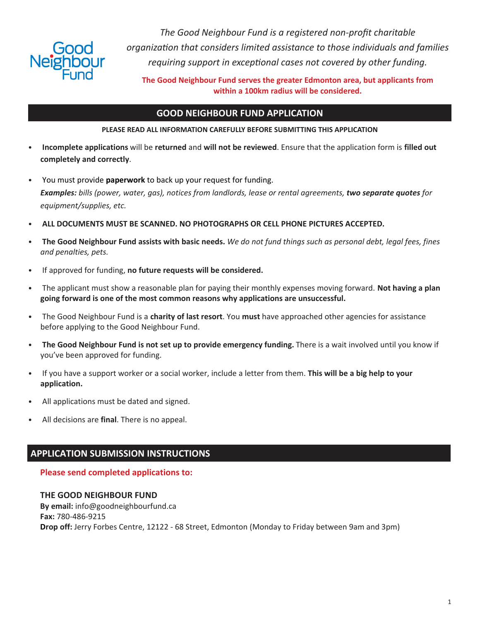

*The Good Neighbour Fund is a registered non-proft charitable organizaton that considers limited assistance to those individuals and families requiring support in exceptonal cases not covered by other funding.*

**The Good Neighbour Fund serves the greater Edmonton area, but applicants from within a 100km radius will be considered.**

### **GOOD NEIGHBOUR FUND APPLICATION**

### **PLEASE READ ALL INFORMATION CAREFULLY BEFORE SUBMITTING THIS APPLICATION**

- **Incomplete applications** will be **returned** and **will not be reviewed**. Ensure that the application form is **filled out completely and correctly**.
- You must provide **paperwork** to back up your request for funding. *Examples: bills (power, water, gas), notices from landlords, lease or rental agreements, two separate quotes for equipment/supplies, etc.*
- **ALL DOCUMENTS MUST BE SCANNED. NO PHOTOGRAPHS OR CELL PHONE PICTURES ACCEPTED.**
- The Good Neighbour Fund assists with basic needs. We do not fund things such as personal debt, legal fees, fines *and penalties, pets.*
- If approved for funding, no future requests will be considered.
- The applicant must show a reasonable plan for paying their monthly expenses moving forward. **Not having a plan going forward is one of the most common reasons why applications are unsuccessful.**
- The Good Neighbour Fund is a **charity of last resort**. You **must** have approached other agencies for assistance before applying to the Good Neighbour Fund.
- **The Good Neighbour Fund is not set up to provide emergency funding.** There is a wait involved until you know if you've been approved for funding.
- If you have a support worker or a social worker, include a letter from them. **This will be a big help to your application.**
- All applications must be dated and signed.
- All decisions are **final**. There is no appeal.

# **APPLICATION SUBMISSION INSTRUCTIONS**

### **Please send completed applications to:**

### **THE GOOD NEIGHBOUR FUND By email:** info@goodneighbourfund.ca **Fax:** 780-486-9215 **Drop off:** Jerry Forbes Centre, 12122 - 68 Street, Edmonton (Monday to Friday between 9am and 3pm)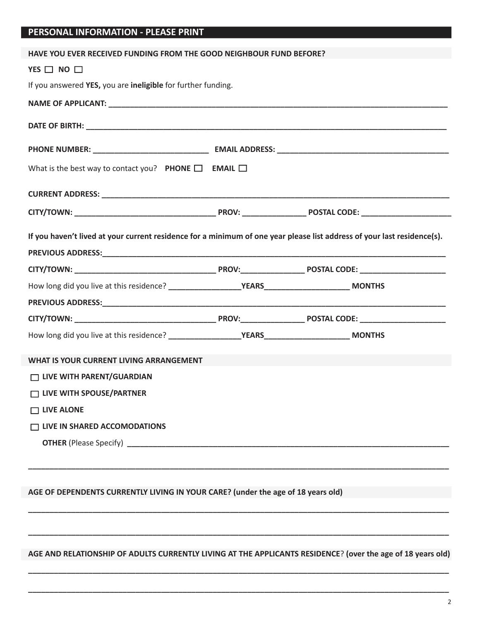### **PERSONAL INFORMATION - PLEASE PRINT**

| HAVE YOU EVER RECEIVED FUNDING FROM THE GOOD NEIGHBOUR FUND BEFORE?                                                     |  |  |  |
|-------------------------------------------------------------------------------------------------------------------------|--|--|--|
| YES $\Box$ NO $\Box$                                                                                                    |  |  |  |
| If you answered YES, you are ineligible for further funding.                                                            |  |  |  |
|                                                                                                                         |  |  |  |
|                                                                                                                         |  |  |  |
|                                                                                                                         |  |  |  |
| What is the best way to contact you? PHONE $\Box$ EMAIL $\Box$                                                          |  |  |  |
|                                                                                                                         |  |  |  |
|                                                                                                                         |  |  |  |
| If you haven't lived at your current residence for a minimum of one year please list address of your last residence(s). |  |  |  |
|                                                                                                                         |  |  |  |
|                                                                                                                         |  |  |  |
|                                                                                                                         |  |  |  |
|                                                                                                                         |  |  |  |
|                                                                                                                         |  |  |  |
| WHAT IS YOUR CURRENT LIVING ARRANGEMENT                                                                                 |  |  |  |
| □ LIVE WITH PARENT/GUARDIAN                                                                                             |  |  |  |
| □ LIVE WITH SPOUSE/PARTNER                                                                                              |  |  |  |
| $\Box$ LIVE ALONE                                                                                                       |  |  |  |
| $\Box$ LIVE IN SHARED ACCOMODATIONS                                                                                     |  |  |  |
|                                                                                                                         |  |  |  |
|                                                                                                                         |  |  |  |
|                                                                                                                         |  |  |  |
| AGE OF DEPENDENTS CURRENTLY LIVING IN YOUR CARE? (under the age of 18 years old)                                        |  |  |  |
|                                                                                                                         |  |  |  |
|                                                                                                                         |  |  |  |
|                                                                                                                         |  |  |  |

**AGE AND RELATIONSHIP OF ADULTS CURRENTLY LIVING AT THE APPLICANTS RESIDENCE**? **(over the age of 18 years old)**

**\_\_\_\_\_\_\_\_\_\_\_\_\_\_\_\_\_\_\_\_\_\_\_\_\_\_\_\_\_\_\_\_\_\_\_\_\_\_\_\_\_\_\_\_\_\_\_\_\_\_\_\_\_\_\_\_\_\_\_\_\_\_\_\_\_\_\_\_\_\_\_\_\_\_\_\_\_\_\_\_\_\_\_\_\_\_\_\_\_\_\_\_\_\_\_\_\_\_**

**\_\_\_\_\_\_\_\_\_\_\_\_\_\_\_\_\_\_\_\_\_\_\_\_\_\_\_\_\_\_\_\_\_\_\_\_\_\_\_\_\_\_\_\_\_\_\_\_\_\_\_\_\_\_\_\_\_\_\_\_\_\_\_\_\_\_\_\_\_\_\_\_\_\_\_\_\_\_\_\_\_\_\_\_\_\_\_\_\_\_\_\_\_\_\_\_\_\_**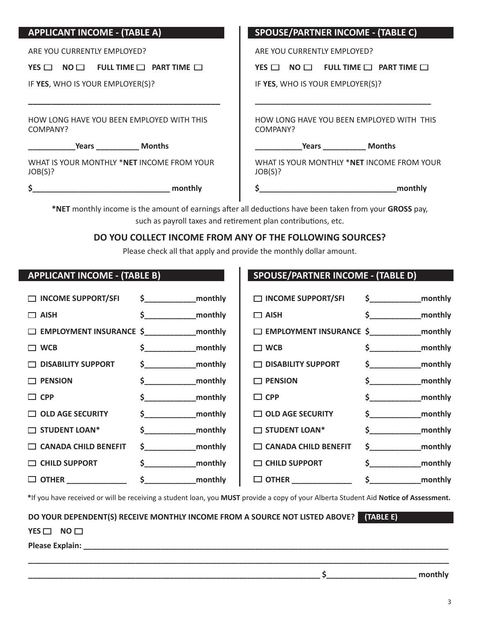| <b>APPLICANT INCOME - (TABLE A)</b>                    | <b>SPOUSE/PARTNER INCOME - (TABLE C)</b>               |
|--------------------------------------------------------|--------------------------------------------------------|
| ARE YOU CURRENTLY EMPLOYED?                            | ARE YOU CURRENTLY EMPLOYED?                            |
| YES $\Box$ NO $\Box$ FULL TIME $\Box$ PART TIME $\Box$ | YES $\Box$ NO $\Box$ FULL TIME $\Box$ PART TIME $\Box$ |
| IF YES, WHO IS YOUR EMPLOYER(S)?                       | IF YES, WHO IS YOUR EMPLOYER(S)?                       |
|                                                        |                                                        |
| HOW LONG HAVE YOU BEEN EMPLOYED WITH THIS<br>COMPANY?  | HOW LONG HAVE YOU BEEN EMPLOYED WITH THIS<br>COMPANY?  |
| Years Months                                           |                                                        |
| WHAT IS YOUR MONTHLY *NET INCOME FROM YOUR<br>JOB(S)?  | WHAT IS YOUR MONTHLY *NET INCOME FROM YOUR<br>JOB(S)?  |
| monthly                                                | monthly                                                |
|                                                        |                                                        |

\*NET monthly income is the amount of earnings after all deductions have been taken from your GROSS pay, such as payroll taxes and retirement plan contributions, etc.

## **DO YOU COLLECT INCOME FROM ANY OF THE FOLLOWING SOURCES?**

Please check all that apply and provide the monthly dollar amount.

| <b>APPLICANT INCOME - (TABLE B)</b>                |                       | <b>SPOUSE/PARTNER INCOME - (TABLE D)</b>          |                           |
|----------------------------------------------------|-----------------------|---------------------------------------------------|---------------------------|
| $\Box$ INCOME SUPPORT/SFI                          |                       | $\Box$ INCOME SUPPORT/SFI                         | $\frac{1}{2}$ monthly     |
| $\Box$ AISH                                        |                       | $\Box$ AISH                                       | $\frac{1}{2}$ monthly     |
| □ EMPLOYMENT INSURANCE \$ ________________ monthly |                       | $\Box$ EMPLOYMENT INSURANCE $\frac{2}{3}$ monthly |                           |
| $\Box$ WCB                                         | $\frac{1}{2}$ monthly | $\Box$ WCB                                        | $\frac{2}{5}$ monthly     |
| $\Box$ DISABILITY SUPPORT                          | $\frac{2}{5}$ monthly | $\Box$ DISABILITY SUPPORT                         | $\frac{2}{5}$ monthly     |
| $\Box$ PENSION                                     |                       | $\Box$ PENSION                                    | $\frac{2}{5}$ monthly     |
| $\Box$ CPP                                         | $\frac{2}{5}$ monthly | $\Box$ CPP                                        | $\frac{2}{5}$ monthly     |
| $\Box$ OLD AGE SECURITY                            |                       | $\Box$ OLD AGE SECURITY                           |                           |
| $\Box$ STUDENT LOAN*                               |                       | $\Box$ STUDENT LOAN*                              | $\frac{1}{2}$ monthly     |
| $\Box$ CANADA CHILD BENEFIT                        | $\frac{2}{5}$ monthly | $\Box$ CANADA CHILD BENEFIT                       |                           |
| $\Box$ CHILD SUPPORT                               |                       | $\Box$ CHILD SUPPORT                              | $\frac{1}{2}$<br>_monthly |
| $\Box$ OTHER ______________                        |                       | $\Box$ OTHER ______________                       | _monthly<br>$\sim$        |

**\***If you have received or will be receiving a student loan, you **MUST** provide a copy of your Alberta Student Aid **Notce of Assessment.**

**\_\_\_\_\_\_\_\_\_\_\_\_\_\_\_\_\_\_\_\_\_\_\_\_\_\_\_\_\_\_\_\_\_\_\_\_\_\_\_\_\_\_\_\_\_\_\_\_\_\_\_\_\_\_\_\_\_\_\_\_\_\_\_\_\_\_\_\_\_\_\_\_\_\_\_\_\_\_\_\_\_\_\_\_\_\_\_\_\_\_\_\_\_\_\_\_\_\_**

### **DO YOUR DEPENDENT(S) RECEIVE MONTHLY INCOME FROM A SOURCE NOT LISTED ABOVE? (TABLE E)**

**YES NO** □

**Please Explain: \_\_\_\_\_\_\_\_\_\_\_\_\_\_\_\_\_\_\_\_\_\_\_\_\_\_\_\_\_\_\_\_\_\_\_\_\_\_\_\_\_\_\_\_\_\_\_\_\_\_\_\_\_\_\_\_\_\_\_\_\_\_\_\_\_\_\_\_\_\_\_\_\_\_\_\_\_\_\_\_\_\_\_\_\_**

 $\zeta$  monthly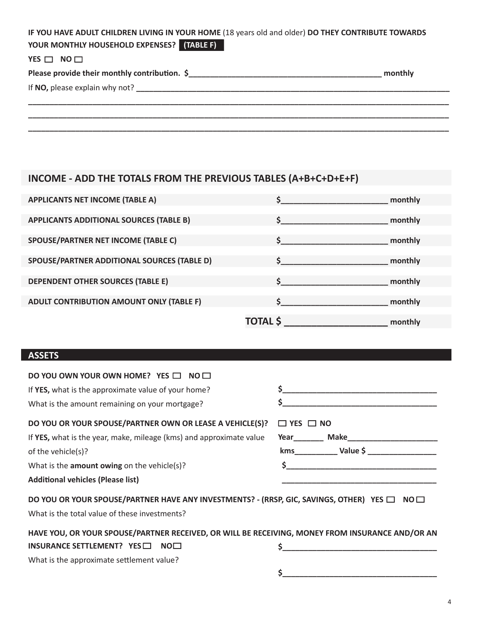| IF YOU HAVE ADULT CHILDREN LIVING IN YOUR HOME (18 years old and older) DO THEY CONTRIBUTE TOWARDS |         |
|----------------------------------------------------------------------------------------------------|---------|
| YOUR MONTHLY HOUSEHOLD EXPENSES? (TABLE F)                                                         |         |
| YES $\Box$ NO $\Box$                                                                               |         |
|                                                                                                    | monthly |
|                                                                                                    |         |
|                                                                                                    |         |
|                                                                                                    |         |
|                                                                                                    |         |

# **INCOME - ADD THE TOTALS FROM THE PREVIOUS TABLES (A+B+C+D+E+F)**

| <b>APPLICANTS NET INCOME (TABLE A)</b>         |                    | monthly |
|------------------------------------------------|--------------------|---------|
| <b>APPLICANTS ADDITIONAL SOURCES (TABLE B)</b> | $\mathsf{\hat{S}}$ | monthly |
| <b>SPOUSE/PARTNER NET INCOME (TABLE C)</b>     |                    | monthly |
| SPOUSE/PARTNER ADDITIONAL SOURCES (TABLE D)    |                    | monthly |
| <b>DEPENDENT OTHER SOURCES (TABLE E)</b>       |                    | monthly |
| ADULT CONTRIBUTION AMOUNT ONLY (TABLE F)       |                    | monthly |
|                                                | <b>TOTAL</b> \$    | monthly |

## **ASSETS**

| DO YOU OWN YOUR OWN HOME? YES $\square$ NO $\square$                                            |                                                                                                                       |
|-------------------------------------------------------------------------------------------------|-----------------------------------------------------------------------------------------------------------------------|
| If YES, what is the approximate value of your home?                                             |                                                                                                                       |
| What is the amount remaining on your mortgage?                                                  | <u> 1989 - Johann Harry Harry Harry Harry Harry Harry Harry Harry Harry Harry Harry Harry Harry Harry Harry Harry</u> |
| DO YOU OR YOUR SPOUSE/PARTNER OWN OR LEASE A VEHICLE(S)?                                        | $\Box$ YES $\Box$ NO                                                                                                  |
| If YES, what is the year, make, mileage (kms) and approximate value                             |                                                                                                                       |
| of the vehicle(s)?                                                                              |                                                                                                                       |
| What is the <b>amount owing</b> on the vehicle(s)?                                              | $\mathsf{\$}$                                                                                                         |
| <b>Additional vehicles (Please list)</b>                                                        |                                                                                                                       |
| DO YOU OR YOUR SPOUSE/PARTNER HAVE ANY INVESTMENTS? - (RRSP, GIC, SAVINGS, OTHER) YES □ NO□     |                                                                                                                       |
| What is the total value of these investments?                                                   |                                                                                                                       |
| HAVE YOU, OR YOUR SPOUSE/PARTNER RECEIVED, OR WILL BE RECEIVING, MONEY FROM INSURANCE AND/OR AN |                                                                                                                       |
| INSURANCE SETTLEMENT? $YES$<br>NO <sub>1</sub>                                                  |                                                                                                                       |
| What is the approximate settlement value?                                                       |                                                                                                                       |
|                                                                                                 |                                                                                                                       |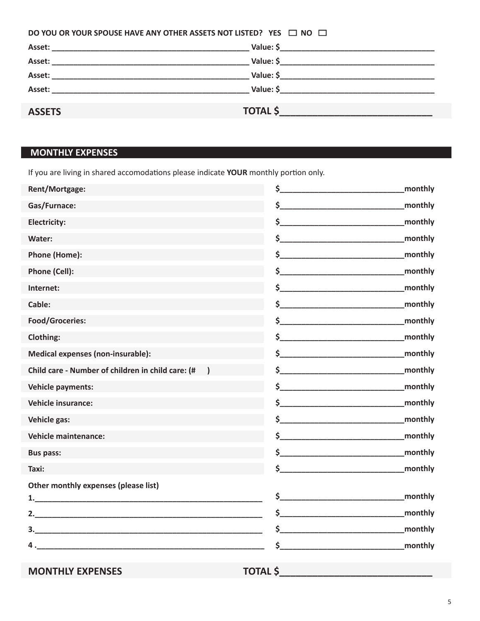| DO YOU OR YOUR SPOUSE HAVE ANY OTHER ASSETS NOT LISTED? YES $\Box$ NO $\Box$ |                 |
|------------------------------------------------------------------------------|-----------------|
|                                                                              |                 |
|                                                                              |                 |
|                                                                              |                 |
|                                                                              |                 |
| <b>ASSETS</b>                                                                | <b>TOTAL \$</b> |

# **MONTHLY EXPENSES**

If you are living in shared accomodatons please indicate **YOUR** monthly porton only.

| Rent/Mortgage:                                    |                 | monthly |
|---------------------------------------------------|-----------------|---------|
| Gas/Furnace:                                      | $\sim$          | monthly |
| <b>Electricity:</b>                               | $\sim$          | monthly |
| Water:                                            | $\sim$          | monthly |
| Phone (Home):                                     |                 | monthly |
| Phone (Cell):                                     |                 | monthly |
| Internet:                                         | \$              | monthly |
| Cable:                                            |                 | monthly |
| <b>Food/Groceries:</b>                            |                 | monthly |
| Clothing:                                         | $\sharp$        | monthly |
| <b>Medical expenses (non-insurable):</b>          |                 | monthly |
| Child care - Number of children in child care: (# | $\mathsf{\$}$   | monthly |
| <b>Vehicle payments:</b>                          |                 | monthly |
| <b>Vehicle insurance:</b>                         | $\sim$          | monthly |
| Vehicle gas:                                      |                 | monthly |
| <b>Vehicle maintenance:</b>                       | $\frac{1}{2}$   | monthly |
| <b>Bus pass:</b>                                  |                 | monthly |
| Taxi:                                             | $\sim$          | monthly |
| Other monthly expenses (please list)              |                 |         |
|                                                   |                 | monthly |
|                                                   | $\sim$          | monthly |
|                                                   | S.              | monthly |
|                                                   | \$              | monthly |
| <b>MONTHLY EXPENSES</b>                           | <b>TOTAL \$</b> |         |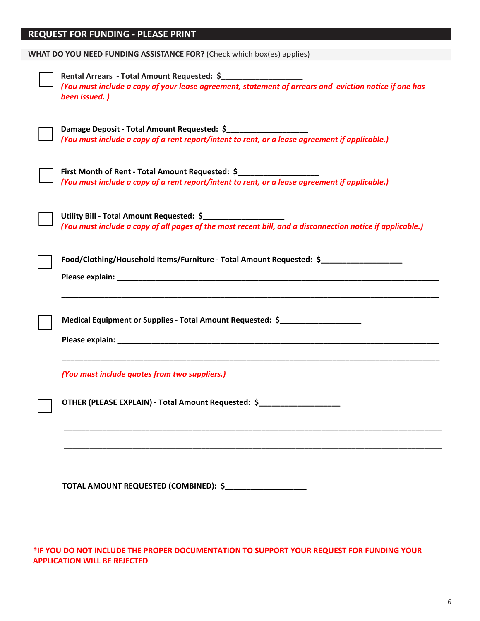# **REQUEST FOR FUNDING - PLEASE PRINT**

| WHAT DO YOU NEED FUNDING ASSISTANCE FOR? (Check which box(es) applies)                                                                                                                     |
|--------------------------------------------------------------------------------------------------------------------------------------------------------------------------------------------|
| Rental Arrears - Total Amount Requested: \$_____________________<br>(You must include a copy of your lease agreement, statement of arrears and eviction notice if one has<br>been issued.) |
| Damage Deposit - Total Amount Requested: \$______________________<br>(You must include a copy of a rent report/intent to rent, or a lease agreement if applicable.)                        |
| First Month of Rent - Total Amount Requested: \$<br>(You must include a copy of a rent report/intent to rent, or a lease agreement if applicable.)                                         |
| Utility Bill - Total Amount Requested: \$______________________<br>(You must include a copy of all pages of the most recent bill, and a disconnection notice if applicable.)               |
| Food/Clothing/Household Items/Furniture - Total Amount Requested: \$                                                                                                                       |
| Medical Equipment or Supplies - Total Amount Requested: \$                                                                                                                                 |
| (You must include quotes from two suppliers.)                                                                                                                                              |
| OTHER (PLEASE EXPLAIN) - Total Amount Requested: \$_______________________                                                                                                                 |
|                                                                                                                                                                                            |
| TOTAL AMOUNT REQUESTED (COMBINED): \$_____________________                                                                                                                                 |

\*IF YOU DO NOT INCLUDE THE PROPER DOCUMENTATION TO SUPPORT YOUR REQUEST FOR FUNDING YOUR **APPLICATION WILL BE REJECTED**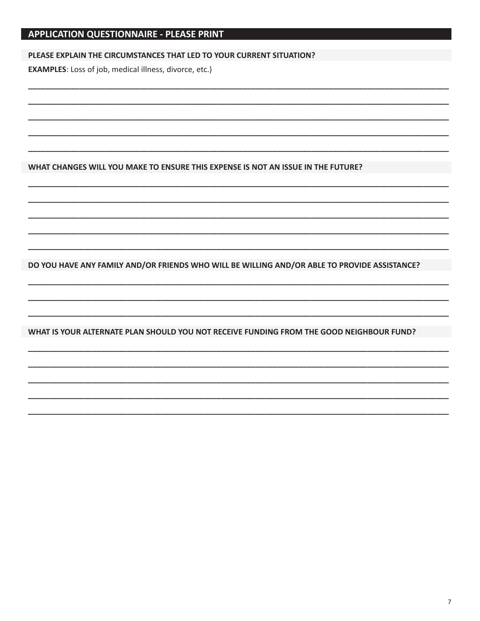# **APPLICATION QUESTIONNAIRE - PLEASE PRINT**

#### PLEASE EXPLAIN THE CIRCUMSTANCES THAT LED TO YOUR CURRENT SITUATION?

**EXAMPLES:** Loss of job, medical illness, divorce, etc.)

WHAT CHANGES WILL YOU MAKE TO ENSURE THIS EXPENSE IS NOT AN ISSUE IN THE FUTURE?

DO YOU HAVE ANY FAMILY AND/OR FRIENDS WHO WILL BE WILLING AND/OR ABLE TO PROVIDE ASSISTANCE?

WHAT IS YOUR ALTERNATE PLAN SHOULD YOU NOT RECEIVE FUNDING FROM THE GOOD NEIGHBOUR FUND?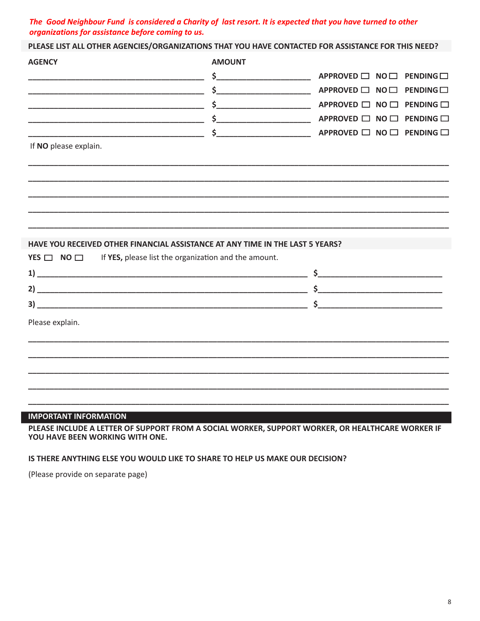### The Good Neighbour Fund is considered a Charity of last resort. It is expected that you have turned to other organizations for assistance before coming to us.

PLEASE LIST ALL OTHER AGENCIES/ORGANIZATIONS THAT YOU HAVE CONTACTED FOR ASSISTANCE FOR THIS NEED?

| <b>AGENCY</b>                                                                 | <b>AMOUNT</b>                                        |                           |                          |
|-------------------------------------------------------------------------------|------------------------------------------------------|---------------------------|--------------------------|
|                                                                               |                                                      | APPROVED □ NO □ PENDING □ |                          |
|                                                                               | $\frac{1}{2}$                                        | APPROVED □ NO □ PENDING □ |                          |
|                                                                               |                                                      | APPROVED □                | $NO \Box$ PENDING $\Box$ |
|                                                                               | $\frac{1}{2}$                                        | APPROVED □ NO □ PENDING □ |                          |
|                                                                               | \$<br><u> 1990 - Johann Barbara, martin a</u>        | APPROVED □ NO □ PENDING □ |                          |
| If NO please explain.                                                         |                                                      |                           |                          |
|                                                                               |                                                      |                           |                          |
|                                                                               |                                                      |                           |                          |
|                                                                               |                                                      |                           |                          |
|                                                                               |                                                      |                           |                          |
|                                                                               |                                                      |                           |                          |
| HAVE YOU RECEIVED OTHER FINANCIAL ASSISTANCE AT ANY TIME IN THE LAST 5 YEARS? |                                                      |                           |                          |
| YES $\Box$ NO $\Box$                                                          | If YES, please list the organization and the amount. |                           |                          |
|                                                                               |                                                      | $\frac{1}{2}$             |                          |
|                                                                               |                                                      |                           |                          |
|                                                                               |                                                      |                           |                          |
|                                                                               |                                                      |                           |                          |
| Please explain.                                                               |                                                      |                           |                          |
|                                                                               |                                                      |                           |                          |
|                                                                               |                                                      |                           |                          |
|                                                                               |                                                      |                           |                          |
|                                                                               |                                                      |                           |                          |
|                                                                               |                                                      |                           |                          |

#### **IMPORTANT INFORMATION**

PLEASE INCLUDE A LETTER OF SUPPORT FROM A SOCIAL WORKER, SUPPORT WORKER, OR HEALTHCARE WORKER IF YOU HAVE BEEN WORKING WITH ONE.

### IS THERE ANYTHING ELSE YOU WOULD LIKE TO SHARE TO HELP US MAKE OUR DECISION?

(Please provide on separate page)